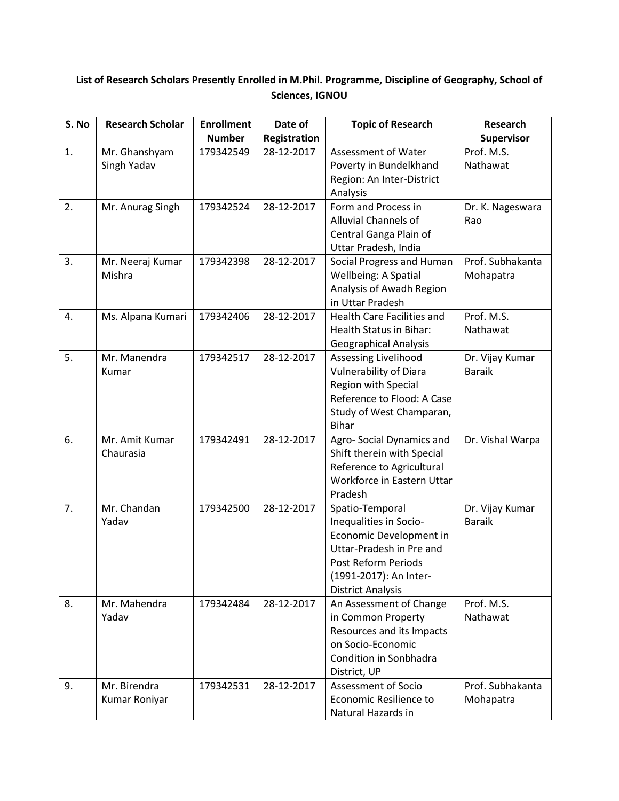## **List of Research Scholars Presently Enrolled in M.Phil. Programme, Discipline of Geography, School of Sciences, IGNOU**

| S. No | <b>Research Scholar</b> | <b>Enrollment</b> | Date of             | <b>Topic of Research</b>                                | Research                         |
|-------|-------------------------|-------------------|---------------------|---------------------------------------------------------|----------------------------------|
|       |                         | <b>Number</b>     | <b>Registration</b> |                                                         | Supervisor                       |
| 1.    | Mr. Ghanshyam           | 179342549         | 28-12-2017          | Assessment of Water                                     | Prof. M.S.                       |
|       | Singh Yadav             |                   |                     | Poverty in Bundelkhand                                  | Nathawat                         |
|       |                         |                   |                     | Region: An Inter-District<br>Analysis                   |                                  |
| 2.    | Mr. Anurag Singh        | 179342524         | 28-12-2017          | Form and Process in                                     | Dr. K. Nageswara                 |
|       |                         |                   |                     | Alluvial Channels of                                    | Rao                              |
|       |                         |                   |                     | Central Ganga Plain of<br>Uttar Pradesh, India          |                                  |
| 3.    | Mr. Neeraj Kumar        | 179342398         | 28-12-2017          | Social Progress and Human                               | Prof. Subhakanta                 |
|       | Mishra                  |                   |                     | Wellbeing: A Spatial                                    | Mohapatra                        |
|       |                         |                   |                     | Analysis of Awadh Region                                |                                  |
|       |                         |                   |                     | in Uttar Pradesh                                        |                                  |
| 4.    | Ms. Alpana Kumari       | 179342406         | 28-12-2017          | <b>Health Care Facilities and</b>                       | Prof. M.S.                       |
|       |                         |                   |                     | <b>Health Status in Bihar:</b>                          | Nathawat                         |
|       |                         |                   | 28-12-2017          | <b>Geographical Analysis</b>                            |                                  |
| 5.    | Mr. Manendra<br>Kumar   | 179342517         |                     | Assessing Livelihood<br><b>Vulnerability of Diara</b>   | Dr. Vijay Kumar<br><b>Baraik</b> |
|       |                         |                   |                     | Region with Special                                     |                                  |
|       |                         |                   |                     | Reference to Flood: A Case                              |                                  |
|       |                         |                   |                     | Study of West Champaran,                                |                                  |
|       |                         |                   |                     | <b>Bihar</b>                                            |                                  |
| 6.    | Mr. Amit Kumar          | 179342491         | 28-12-2017          | Agro-Social Dynamics and                                | Dr. Vishal Warpa                 |
|       | Chaurasia               |                   |                     | Shift therein with Special                              |                                  |
|       |                         |                   |                     | Reference to Agricultural<br>Workforce in Eastern Uttar |                                  |
|       |                         |                   |                     | Pradesh                                                 |                                  |
| 7.    | Mr. Chandan             | 179342500         | 28-12-2017          | Spatio-Temporal                                         | Dr. Vijay Kumar                  |
|       | Yadav                   |                   |                     | Inequalities in Socio-                                  | <b>Baraik</b>                    |
|       |                         |                   |                     | Economic Development in<br>Uttar-Pradesh in Pre and     |                                  |
|       |                         |                   |                     | Post Reform Periods                                     |                                  |
|       |                         |                   |                     | (1991-2017): An Inter-                                  |                                  |
|       |                         |                   |                     | <b>District Analysis</b>                                |                                  |
| 8.    | Mr. Mahendra            | 179342484         | 28-12-2017          | An Assessment of Change                                 | Prof. M.S.                       |
|       | Yadav                   |                   |                     | in Common Property                                      | Nathawat                         |
|       |                         |                   |                     | Resources and its Impacts<br>on Socio-Economic          |                                  |
|       |                         |                   |                     | Condition in Sonbhadra                                  |                                  |
|       |                         |                   |                     | District, UP                                            |                                  |
| 9.    | Mr. Birendra            | 179342531         | 28-12-2017          | Assessment of Socio                                     | Prof. Subhakanta                 |
|       | Kumar Roniyar           |                   |                     | Economic Resilience to                                  | Mohapatra                        |
|       |                         |                   |                     | Natural Hazards in                                      |                                  |